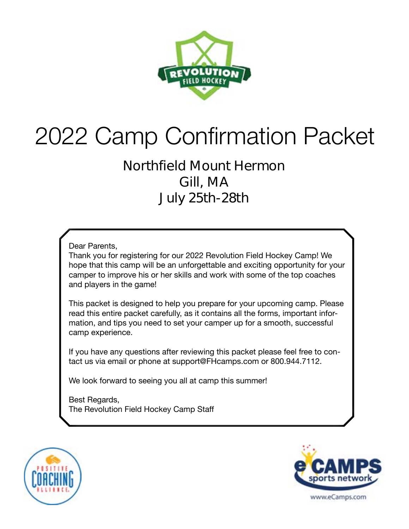

# 2022 Camp Confirmation Packet

### **Northfield Mount Hermon Gill, MA July 25th-28th**

Dear Parents,

Thank you for registering for our 2022 Revolution Field Hockey Camp! We hope that this camp will be an unforgettable and exciting opportunity for your camper to improve his or her skills and work with some of the top coaches and players in the game!

This packet is designed to help you prepare for your upcoming camp. Please read this entire packet carefully, as it contains all the forms, important information, and tips you need to set your camper up for a smooth, successful camp experience.

If you have any questions after reviewing this packet please feel free to contact us via email or phone at support@FHcamps.com or 800.944.7112.

We look forward to seeing you all at camp this summer!

Best Regards, The Revolution Field Hockey Camp Staff



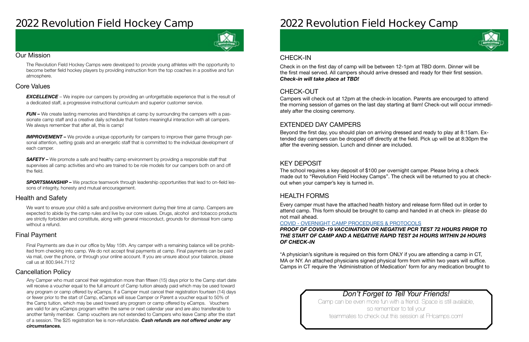### **2022 Revolution Field Hockey Camp**



#### Our Mission

The Revolution Field Hockey Camps were developed to provide young athletes with the opportunity to become better field hockey players by providing instruction from the top coaches in a positive and fun atmosphere.

#### Health and Safety

We want to ensure your child a safe and positive environment during their time at camp. Campers are expected to abide by the camp rules and live by our core values. Drugs, alcohol and tobacco products are strictly forbidden and constitute, along with general misconduct, grounds for dismissal from camp without a refund.

#### Cancellation Policy

#### Final Payment

**EXCELLENCE** – We inspire our campers by providing an unforgettable experience that is the result of a dedicated staff, a progressive instructional curriculum and superior customer service.

*FUN –* We create lasting memories and friendships at camp by surrounding the campers with a passionate camp staff and a creative daily schedule that fosters meaningful interaction with all campers. We always remember that after all, this is camp!

#### Core Values

**IMPROVEMENT** – We provide a unique opportunity for campers to improve their game through personal attention, setting goals and an energetic staff that is committed to the individual development of each camper.

**SAFETY** – We promote a safe and healthy camp environment by providing a responsible staff that supervises all camp activities and who are trained to be role models for our campers both on and off the field.

**SPORTSMANSHIP –** We practice teamwork through leadership opportunities that lead to on-field lessons of integrity, honesty and mutual encouragement.

Final Payments are due in our office by May 15th. Any camper with a remaining balance will be prohibited from checking into camp. We do not accept final payments at camp. Final payments can be paid via mail, over the phone, or through your online account. If you are unsure about your balance, please call us at 800.944.7112

Any Camper who must cancel their registration more than fifteen (15) days prior to the Camp start date will receive a voucher equal to the full amount of Camp tuition already paid which may be used toward any program or camp offered by eCamps. If a Camper must cancel their registration fourteen (14) days or fewer prior to the start of Camp, eCamps will issue Camper or Parent a voucher equal to 50% of the Camp tuition, which may be used toward any program or camp offered by eCamps. Vouchers are valid for any eCamps program within the same or next calendar year and are also transferable to another family member. Camp vouchers are not extended to Campers who leave Camp after the start of a session. The \$25 registration fee is non-refundable. *Cash refunds are not offered under any circumstances.*

## **2022 Revolution Field Hockey Camp**

### *Don't Forget to Tell Your Friends!*

Camp can be even more fun with a friend. Space is still available, so remember to tell your teammates to check out this session at FHcamps.com!



#### CHECK-OUT

#### EXTENDED DAY CAMPERS

#### KEY DEPOSIT

#### HEALTH FORMS

Campers will check out at 12pm at the check-in location. Parents are encourged to attend the morning session of games on the last day starting at 9am! Check-out will occur immediately after the closing ceremony.

Beyond the first day, you should plan on arriving dressed and ready to play at 8:15am. Extended day campers can be dropped off directly at the field. Pick up will be at 8:30pm the after the evening session. Lunch and dinner are included.

The school requires a key deposit of \$100 per overnight camper. Please bring a check made out to "Revolution Field Hockey Camps". The check will be returned to you at checkout when your camper's key is turned in.

Every camper must have the attached health history and release form filled out in order to attend camp. This form should be brought to camp and handed in at check in- **please do not mail ahead**.

#### COVID - [OVERNIGHT CAMP PROCEDURES & PROTOCOLS](https://laxcamps.com/wp-content/uploads/COVID-19-eCamps-Sports-Network-Guidlines-Overnight-Camp.pdf) *PROOF OF COVID-19 VACCINATION OR NEGATIVE PCR TEST 72 HOURS PRIOR TO THE START OF CAMP AND A NEGATIVE RAPID TEST 24 HOURS WITHIN 24 HOURS OF CHECK-IN*

\*A physician's signiture is required on this form ONLY if you are attending a camp in CT, MA or NY. An attached physicians signed physical form from within two years will suffice. Camps in CT require the 'Administration of Medication' form for any medication brought to

#### CHECK-IN

Check in on the first day of camp will be between 12-1pm at TBD dorm. Dinner will be the first meal served. All campers should arrive dressed and ready for their first session. *Check-in will take place at TBD!*